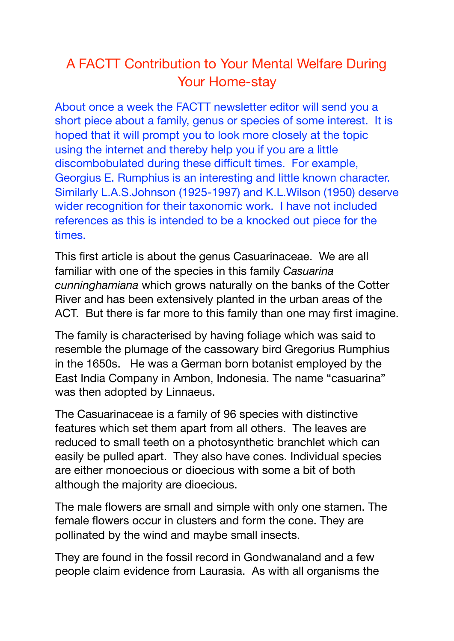## A FACTT Contribution to Your Mental Welfare During Your Home-stay

About once a week the FACTT newsletter editor will send you a short piece about a family, genus or species of some interest. It is hoped that it will prompt you to look more closely at the topic using the internet and thereby help you if you are a little discombobulated during these difficult times. For example, Georgius E. Rumphius is an interesting and little known character. Similarly L.A.S.Johnson (1925-1997) and K.L.Wilson (1950) deserve wider recognition for their taxonomic work. I have not included references as this is intended to be a knocked out piece for the times.

This first article is about the genus Casuarinaceae. We are all familiar with one of the species in this family *Casuarina cunninghamiana* which grows naturally on the banks of the Cotter River and has been extensively planted in the urban areas of the ACT. But there is far more to this family than one may first imagine.

The family is characterised by having foliage which was said to resemble the plumage of the cassowary bird Gregorius Rumphius in the 1650s. He was a German born botanist employed by the East India Company in Ambon, Indonesia. The name "casuarina" was then adopted by Linnaeus.

The Casuarinaceae is a family of 96 species with distinctive features which set them apart from all others. The leaves are reduced to small teeth on a photosynthetic branchlet which can easily be pulled apart. They also have cones. Individual species are either monoecious or dioecious with some a bit of both although the majority are dioecious.

The male flowers are small and simple with only one stamen. The female flowers occur in clusters and form the cone. They are pollinated by the wind and maybe small insects.

They are found in the fossil record in Gondwanaland and a few people claim evidence from Laurasia. As with all organisms the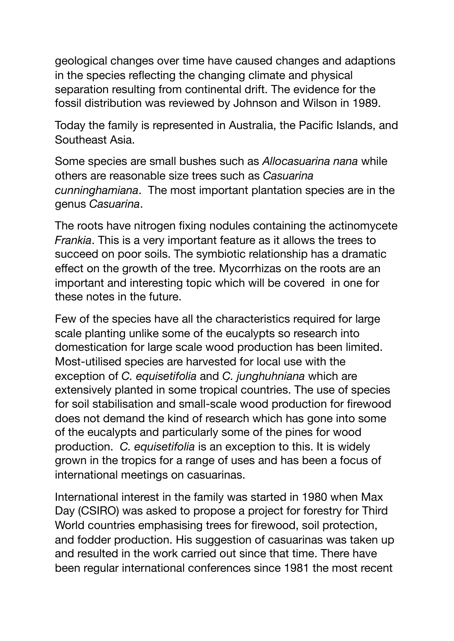geological changes over time have caused changes and adaptions in the species reflecting the changing climate and physical separation resulting from continental drift. The evidence for the fossil distribution was reviewed by Johnson and Wilson in 1989.

Today the family is represented in Australia, the Pacific Islands, and Southeast Asia.

Some species are small bushes such as *Allocasuarina nana* while others are reasonable size trees such as *Casuarina cunninghamiana*. The most important plantation species are in the genus *Casuarina*.

The roots have nitrogen fixing nodules containing the actinomycete *Frankia*. This is a very important feature as it allows the trees to succeed on poor soils. The symbiotic relationship has a dramatic effect on the growth of the tree. Mycorrhizas on the roots are an important and interesting topic which will be covered in one for these notes in the future.

Few of the species have all the characteristics required for large scale planting unlike some of the eucalypts so research into domestication for large scale wood production has been limited. Most-utilised species are harvested for local use with the exception of *C. equisetifolia* and *C. junghuhniana* which are extensively planted in some tropical countries. The use of species for soil stabilisation and small-scale wood production for firewood does not demand the kind of research which has gone into some of the eucalypts and particularly some of the pines for wood production. *C. equisetifolia* is an exception to this. It is widely grown in the tropics for a range of uses and has been a focus of international meetings on casuarinas.

International interest in the family was started in 1980 when Max Day (CSIRO) was asked to propose a project for forestry for Third World countries emphasising trees for firewood, soil protection, and fodder production. His suggestion of casuarinas was taken up and resulted in the work carried out since that time. There have been regular international conferences since 1981 the most recent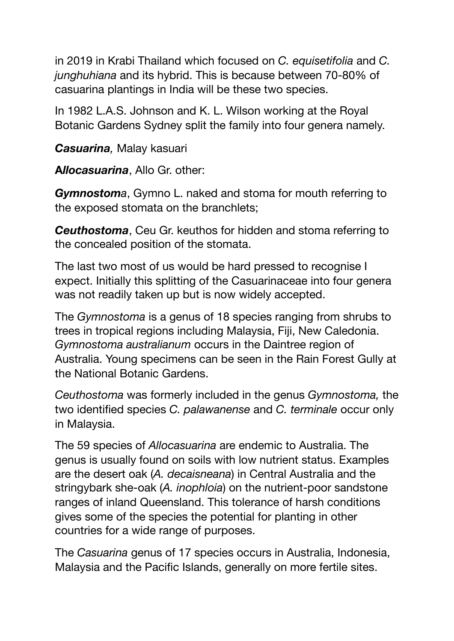in 2019 in Krabi Thailand which focused on *C. equisetifolia* and *C. junghuhiana* and its hybrid. This is because between 70-80% of casuarina plantings in India will be these two species.

In 1982 L.A.S. Johnson and K. L. Wilson working at the Royal Botanic Gardens Sydney split the family into four genera namely.

*Casuarina,* Malay kasuari

**A***llocasuarina*, Allo Gr. other:

*Gymnostoma*, Gymno L. naked and stoma for mouth referring to the exposed stomata on the branchlets;

*Ceuthostoma*, Ceu Gr. keuthos for hidden and stoma referring to the concealed position of the stomata.

The last two most of us would be hard pressed to recognise I expect. Initially this splitting of the Casuarinaceae into four genera was not readily taken up but is now widely accepted.

The *Gymnostoma* is a genus of 18 species ranging from shrubs to trees in tropical regions including Malaysia, Fiji, New Caledonia. *Gymnostoma australianum* occurs in the Daintree region of Australia. Young specimens can be seen in the Rain Forest Gully at the National Botanic Gardens.

*Ceuthostoma* was formerly included in the genus *Gymnostoma,* the two identified species *C. palawanense* and *C. terminale* occur only in Malaysia.

The 59 species of *Allocasuarina* are endemic to Australia. The genus is usually found on soils with low nutrient status. Examples are the desert oak (*A. decaisneana*) in Central Australia and the stringybark she-oak (*A. inophloia*) on the nutrient-poor sandstone ranges of inland Queensland. This tolerance of harsh conditions gives some of the species the potential for planting in other countries for a wide range of purposes.

The *Casuarina* genus of 17 species occurs in Australia, Indonesia, Malaysia and the Pacific Islands, generally on more fertile sites.